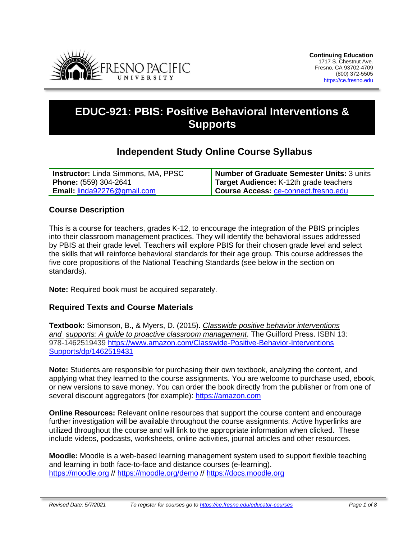

# **EDUC-921: PBIS: Positive Behavioral Interventions & Supports**

# **Independent Study Online Course Syllabus**

| <b>Instructor:</b> Linda Simmons, MA, PPSC | Number of Graduate Semester Units: 3 units  |
|--------------------------------------------|---------------------------------------------|
| <b>Phone:</b> (559) 304-2641               | Target Audience: K-12th grade teachers      |
| <b>Email: linda92276@gmail.com</b>         | <b>Course Access: ce-connect.fresno.edu</b> |

#### **Course Description**

This is a course for teachers, grades K-12, to encourage the integration of the PBIS principles into their classroom management practices. They will identify the behavioral issues addressed by PBIS at their grade level. Teachers will explore PBIS for their chosen grade level and select the skills that will reinforce behavioral standards for their age group. This course addresses the five core propositions of the National Teaching Standards (see below in the section on standards).

**Note:** Required book must be acquired separately.

#### **Required Texts and Course Materials**

**Textbook:** Simonson, B., & Myers, D. (2015). *Classwide positive behavior interventions and supports: A guide to proactive classroom management*. The Guilford Press. ISBN 13: 978-1462519439 https://www.amazon.com/Classwide-Positive-Behavior-Interventions Supports/dp/1462519431

**Note:** Students are responsible for purchasing their own textbook, analyzing the content, and applying what they learned to the course assignments. You are welcome to purchase used, ebook, or new versions to save money. You can order the book directly from the publisher or from one of several discount aggregators (for example): [https://amazon.com](https://amazon.com/)

**Online Resources:** Relevant online resources that support the course content and encourage further investigation will be available throughout the course assignments. Active hyperlinks are utilized throughout the course and will link to the appropriate information when clicked. These include videos, podcasts, worksheets, online activities, journal articles and other resources.

**Moodle:** Moodle is a web-based learning management system used to support flexible teaching and learning in both face-to-face and distance courses (e-learning). [https://moodle.org](https://moodle.org/) // <https://moodle.org/demo> // [https://docs.moodle.org](https://docs.moodle.org/)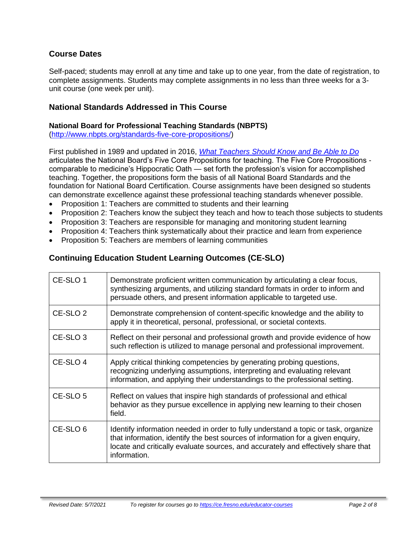# **Course Dates**

Self-paced; students may enroll at any time and take up to one year, from the date of registration, to complete assignments. Students may complete assignments in no less than three weeks for a 3 unit course (one week per unit).

#### **National Standards Addressed in This Course**

#### **National Board for Professional Teaching Standards (NBPTS)**

[\(http://www.nbpts.org/standards-five-core-propositions/\)](http://www.nbpts.org/standards-five-core-propositions/)

First published in 1989 and updated in 2016, *[What Teachers Should Know and Be Able to Do](http://www.accomplishedteacher.org/)* articulates the National Board's Five Core Propositions for teaching. The Five Core Propositions comparable to medicine's Hippocratic Oath — set forth the profession's vision for accomplished teaching. Together, the propositions form the basis of all National Board Standards and the foundation for National Board Certification. Course assignments have been designed so students can demonstrate excellence against these professional teaching standards whenever possible.

- Proposition 1: Teachers are committed to students and their learning
- Proposition 2: Teachers know the subject they teach and how to teach those subjects to students
- Proposition 3: Teachers are responsible for managing and monitoring student learning
- Proposition 4: Teachers think systematically about their practice and learn from experience
- Proposition 5: Teachers are members of learning communities

# **Continuing Education Student Learning Outcomes (CE-SLO)**

| CE-SLO 1            | Demonstrate proficient written communication by articulating a clear focus,<br>synthesizing arguments, and utilizing standard formats in order to inform and<br>persuade others, and present information applicable to targeted use.                                       |
|---------------------|----------------------------------------------------------------------------------------------------------------------------------------------------------------------------------------------------------------------------------------------------------------------------|
| CE-SLO <sub>2</sub> | Demonstrate comprehension of content-specific knowledge and the ability to<br>apply it in theoretical, personal, professional, or societal contexts.                                                                                                                       |
| CE-SLO <sub>3</sub> | Reflect on their personal and professional growth and provide evidence of how<br>such reflection is utilized to manage personal and professional improvement.                                                                                                              |
| CE-SLO 4            | Apply critical thinking competencies by generating probing questions,<br>recognizing underlying assumptions, interpreting and evaluating relevant<br>information, and applying their understandings to the professional setting.                                           |
| CE-SLO <sub>5</sub> | Reflect on values that inspire high standards of professional and ethical<br>behavior as they pursue excellence in applying new learning to their chosen<br>field.                                                                                                         |
| CE-SLO <sub>6</sub> | Identify information needed in order to fully understand a topic or task, organize<br>that information, identify the best sources of information for a given enquiry,<br>locate and critically evaluate sources, and accurately and effectively share that<br>information. |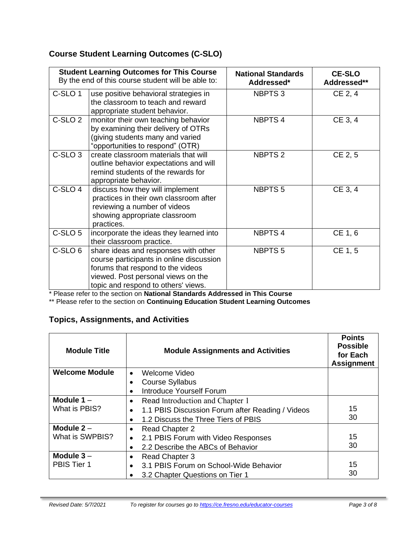# **Course Student Learning Outcomes (C-SLO)**

|                    | <b>Student Learning Outcomes for This Course</b><br>By the end of this course student will be able to:                                                                                             | <b>National Standards</b><br>Addressed* | <b>CE-SLO</b><br>Addressed** |
|--------------------|----------------------------------------------------------------------------------------------------------------------------------------------------------------------------------------------------|-----------------------------------------|------------------------------|
| C-SLO <sub>1</sub> | use positive behavioral strategies in<br>the classroom to teach and reward<br>appropriate student behavior.                                                                                        | NBPTS <sub>3</sub>                      | CE 2, 4                      |
| C-SLO <sub>2</sub> | monitor their own teaching behavior<br>by examining their delivery of OTRs<br>(giving students many and varied<br>"opportunities to respond" (OTR)                                                 | <b>NBPTS4</b>                           | CE 3, 4                      |
| C-SLO <sub>3</sub> | create classroom materials that will<br>outline behavior expectations and will<br>remind students of the rewards for<br>appropriate behavior.                                                      | <b>NBPTS 2</b>                          | CE 2, 5                      |
| C-SLO 4            | discuss how they will implement<br>practices in their own classroom after<br>reviewing a number of videos<br>showing appropriate classroom<br>practices.                                           | <b>NBPTS5</b>                           | CE 3, 4                      |
| C-SLO <sub>5</sub> | incorporate the ideas they learned into<br>their classroom practice.                                                                                                                               | <b>NBPTS4</b>                           | CE 1, 6                      |
| C-SLO 6            | share ideas and responses with other<br>course participants in online discussion<br>forums that respond to the videos<br>viewed. Post personal views on the<br>topic and respond to others' views. | <b>NBPTS5</b>                           | CE 1, 5                      |

\* Please refer to the section on **National Standards Addressed in This Course**

\*\* Please refer to the section on **Continuing Education Student Learning Outcomes**

# **Topics, Assignments, and Activities**

| <b>Module Title</b>   | <b>Module Assignments and Activities</b>         | <b>Points</b><br><b>Possible</b><br>for Each<br><b>Assignment</b> |
|-----------------------|--------------------------------------------------|-------------------------------------------------------------------|
| <b>Welcome Module</b> | Welcome Video<br>$\bullet$                       |                                                                   |
|                       | <b>Course Syllabus</b>                           |                                                                   |
|                       | <b>Introduce Yourself Forum</b>                  |                                                                   |
| Module $1 -$          | Read Introduction and Chapter 1                  |                                                                   |
| What is PBIS?         | 1.1 PBIS Discussion Forum after Reading / Videos | 15                                                                |
|                       | 1.2 Discuss the Three Tiers of PBIS              | 30                                                                |
| Module $2 -$          | <b>Read Chapter 2</b>                            |                                                                   |
| What is SWPBIS?       | 2.1 PBIS Forum with Video Responses<br>٠         | 15                                                                |
|                       | 2.2 Describe the ABCs of Behavior                | 30                                                                |
| Module $3-$           | <b>Read Chapter 3</b>                            |                                                                   |
| PBIS Tier 1           | 3.1 PBIS Forum on School-Wide Behavior           | 15                                                                |
|                       | 3.2 Chapter Questions on Tier 1                  | 30                                                                |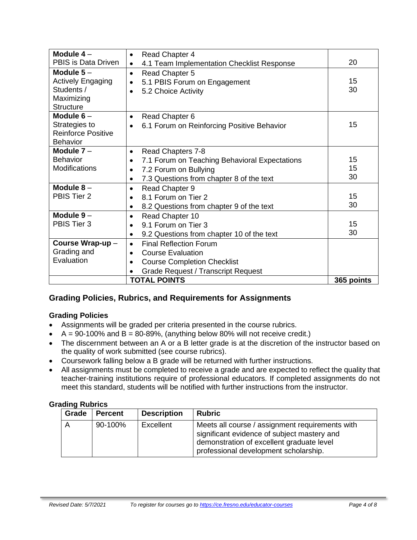| Module $4-$                                                                             | <b>Read Chapter 4</b><br>$\bullet$                                                                                                                                     |                |
|-----------------------------------------------------------------------------------------|------------------------------------------------------------------------------------------------------------------------------------------------------------------------|----------------|
| PBIS is Data Driven                                                                     | 4.1 Team Implementation Checklist Response<br>$\bullet$                                                                                                                | 20             |
| Module $5-$<br><b>Actively Engaging</b><br>Students /<br>Maximizing<br><b>Structure</b> | Read Chapter 5<br>$\bullet$<br>5.1 PBIS Forum on Engagement<br>5.2 Choice Activity<br>$\bullet$                                                                        | 15<br>30       |
| Module $6-$<br>Strategies to<br><b>Reinforce Positive</b><br><b>Behavior</b>            | Read Chapter 6<br>$\bullet$<br>6.1 Forum on Reinforcing Positive Behavior<br>$\bullet$                                                                                 | 15             |
| Module $7 -$<br><b>Behavior</b><br>Modifications                                        | Read Chapters 7-8<br>$\bullet$<br>7.1 Forum on Teaching Behavioral Expectations<br>7.2 Forum on Bullying<br>$\bullet$<br>7.3 Questions from chapter 8 of the text      | 15<br>15<br>30 |
| Module $8-$<br>PBIS Tier 2                                                              | Read Chapter 9<br>$\bullet$<br>8.1 Forum on Tier 2<br>$\bullet$<br>8.2 Questions from chapter 9 of the text<br>$\bullet$                                               | 15<br>30       |
| Module $9-$<br>PBIS Tier 3                                                              | Read Chapter 10<br>٠<br>9.1 Forum on Tier 3<br>$\bullet$<br>9.2 Questions from chapter 10 of the text<br>$\bullet$                                                     | 15<br>30       |
| Course Wrap-up-<br>Grading and<br>Evaluation                                            | <b>Final Reflection Forum</b><br>$\bullet$<br><b>Course Evaluation</b><br>$\bullet$<br><b>Course Completion Checklist</b><br><b>Grade Request / Transcript Request</b> |                |
|                                                                                         | <b>TOTAL POINTS</b>                                                                                                                                                    | 365 points     |

# **Grading Policies, Rubrics, and Requirements for Assignments**

#### **Grading Policies**

- Assignments will be graded per criteria presented in the course rubrics.
- $A = 90-100\%$  and  $B = 80-89\%$ , (anything below 80% will not receive credit.)
- The discernment between an A or a B letter grade is at the discretion of the instructor based on the quality of work submitted (see course rubrics).
- Coursework falling below a B grade will be returned with further instructions.
- All assignments must be completed to receive a grade and are expected to reflect the quality that teacher-training institutions require of professional educators. If completed assignments do not meet this standard, students will be notified with further instructions from the instructor.

#### **Grading Rubrics**

| Grade | <b>Percent</b> | <b>Description</b> | <b>Rubric</b>                                                                                                                                                                        |
|-------|----------------|--------------------|--------------------------------------------------------------------------------------------------------------------------------------------------------------------------------------|
|       | 90-100%        | Excellent          | Meets all course / assignment requirements with<br>significant evidence of subject mastery and<br>demonstration of excellent graduate level<br>professional development scholarship. |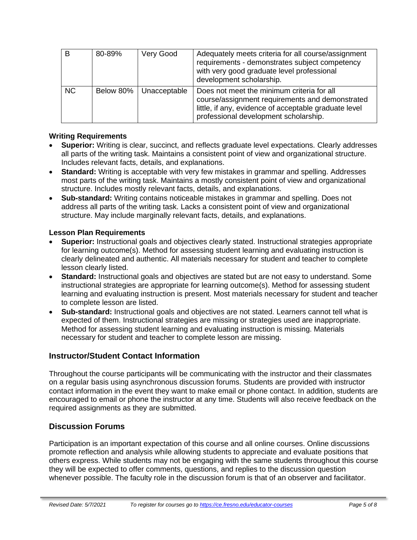| B         | 80-89%    | Very Good    | Adequately meets criteria for all course/assignment<br>requirements - demonstrates subject competency<br>with very good graduate level professional<br>development scholarship.                 |
|-----------|-----------|--------------|-------------------------------------------------------------------------------------------------------------------------------------------------------------------------------------------------|
| <b>NC</b> | Below 80% | Unacceptable | Does not meet the minimum criteria for all<br>course/assignment requirements and demonstrated<br>little, if any, evidence of acceptable graduate level<br>professional development scholarship. |

#### **Writing Requirements**

- **Superior:** Writing is clear, succinct, and reflects graduate level expectations. Clearly addresses all parts of the writing task. Maintains a consistent point of view and organizational structure. Includes relevant facts, details, and explanations.
- **Standard:** Writing is acceptable with very few mistakes in grammar and spelling. Addresses most parts of the writing task. Maintains a mostly consistent point of view and organizational structure. Includes mostly relevant facts, details, and explanations.
- **Sub-standard:** Writing contains noticeable mistakes in grammar and spelling. Does not address all parts of the writing task. Lacks a consistent point of view and organizational structure. May include marginally relevant facts, details, and explanations.

#### **Lesson Plan Requirements**

- **Superior:** Instructional goals and objectives clearly stated. Instructional strategies appropriate for learning outcome(s). Method for assessing student learning and evaluating instruction is clearly delineated and authentic. All materials necessary for student and teacher to complete lesson clearly listed.
- **Standard:** Instructional goals and objectives are stated but are not easy to understand. Some instructional strategies are appropriate for learning outcome(s). Method for assessing student learning and evaluating instruction is present. Most materials necessary for student and teacher to complete lesson are listed.
- **Sub-standard:** Instructional goals and objectives are not stated. Learners cannot tell what is expected of them. Instructional strategies are missing or strategies used are inappropriate. Method for assessing student learning and evaluating instruction is missing. Materials necessary for student and teacher to complete lesson are missing.

#### **Instructor/Student Contact Information**

Throughout the course participants will be communicating with the instructor and their classmates on a regular basis using asynchronous discussion forums. Students are provided with instructor contact information in the event they want to make email or phone contact. In addition, students are encouraged to email or phone the instructor at any time. Students will also receive feedback on the required assignments as they are submitted.

#### **Discussion Forums**

Participation is an important expectation of this course and all online courses. Online discussions promote reflection and analysis while allowing students to appreciate and evaluate positions that others express. While students may not be engaging with the same students throughout this course they will be expected to offer comments, questions, and replies to the discussion question whenever possible. The faculty role in the discussion forum is that of an observer and facilitator.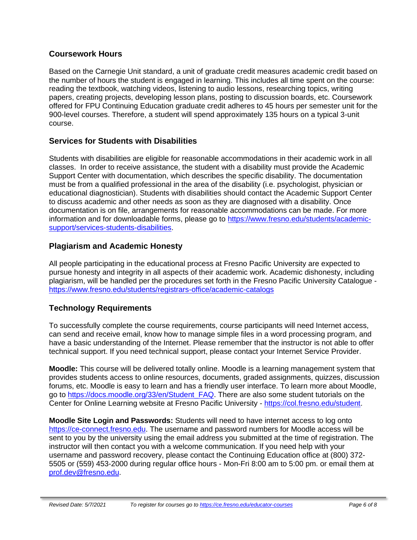#### **Coursework Hours**

Based on the Carnegie Unit standard, a unit of graduate credit measures academic credit based on the number of hours the student is engaged in learning. This includes all time spent on the course: reading the textbook, watching videos, listening to audio lessons, researching topics, writing papers, creating projects, developing lesson plans, posting to discussion boards, etc. Coursework offered for FPU Continuing Education graduate credit adheres to 45 hours per semester unit for the 900-level courses. Therefore, a student will spend approximately 135 hours on a typical 3-unit course.

## **Services for Students with Disabilities**

Students with disabilities are eligible for reasonable accommodations in their academic work in all classes. In order to receive assistance, the student with a disability must provide the Academic Support Center with documentation, which describes the specific disability. The documentation must be from a qualified professional in the area of the disability (i.e. psychologist, physician or educational diagnostician). Students with disabilities should contact the Academic Support Center to discuss academic and other needs as soon as they are diagnosed with a disability. Once documentation is on file, arrangements for reasonable accommodations can be made. For more information and for downloadable forms, please go to [https://www.fresno.edu/students/academic](https://www.fresno.edu/students/academic-support/services-students-disabilities)[support/services-students-disabilities.](https://www.fresno.edu/students/academic-support/services-students-disabilities)

## **Plagiarism and Academic Honesty**

All people participating in the educational process at Fresno Pacific University are expected to pursue honesty and integrity in all aspects of their academic work. Academic dishonesty, including plagiarism, will be handled per the procedures set forth in the Fresno Pacific University Catalogue <https://www.fresno.edu/students/registrars-office/academic-catalogs>

# **Technology Requirements**

To successfully complete the course requirements, course participants will need Internet access, can send and receive email, know how to manage simple files in a word processing program, and have a basic understanding of the Internet. Please remember that the instructor is not able to offer technical support. If you need technical support, please contact your Internet Service Provider.

**Moodle:** This course will be delivered totally online. Moodle is a learning management system that provides students access to online resources, documents, graded assignments, quizzes, discussion forums, etc. Moodle is easy to learn and has a friendly user interface. To learn more about Moodle, go to [https://docs.moodle.org/33/en/Student\\_FAQ.](https://docs.moodle.org/33/en/Student_FAQ) There are also some student tutorials on the Center for Online Learning website at Fresno Pacific University - [https://col.fresno.edu/student.](https://col.fresno.edu/student)

**Moodle Site Login and Passwords:** Students will need to have internet access to log onto [https://ce-connect.fresno.edu.](https://ce-connect.fresno.edu/) The username and password numbers for Moodle access will be sent to you by the university using the email address you submitted at the time of registration. The instructor will then contact you with a welcome communication. If you need help with your username and password recovery, please contact the Continuing Education office at (800) 372- 5505 or (559) 453-2000 during regular office hours - Mon-Fri 8:00 am to 5:00 pm. or email them at [prof.dev@fresno.edu.](mailto:prof.dev@fresno.edu)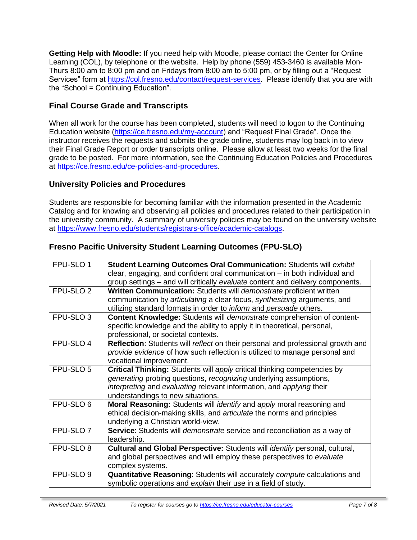**Getting Help with Moodle:** If you need help with Moodle, please contact the Center for Online Learning (COL), by telephone or the website. Help by phone (559) 453-3460 is available Mon-Thurs 8:00 am to 8:00 pm and on Fridays from 8:00 am to 5:00 pm, or by filling out a "Request Services" form at [https://col.fresno.edu/contact/request-services.](https://col.fresno.edu/contact/request-services) Please identify that you are with the "School = Continuing Education".

# **Final Course Grade and Transcripts**

When all work for the course has been completed, students will need to logon to the Continuing Education website [\(https://ce.fresno.edu/my-account\)](https://ce.fresno.edu/my-account) and "Request Final Grade". Once the instructor receives the requests and submits the grade online, students may log back in to view their Final Grade Report or order transcripts online. Please allow at least two weeks for the final grade to be posted. For more information, see the Continuing Education Policies and Procedures at [https://ce.fresno.edu/ce-policies-and-procedures.](https://ce.fresno.edu/ce-policies-and-procedures)

## **University Policies and Procedures**

Students are responsible for becoming familiar with the information presented in the Academic Catalog and for knowing and observing all policies and procedures related to their participation in the university community. A summary of university policies may be found on the university website at [https://www.fresno.edu/students/registrars-office/academic-catalogs.](https://www.fresno.edu/students/registrars-office/academic-catalogs)

# **Fresno Pacific University Student Learning Outcomes (FPU-SLO)**

| FPU-SLO 1            | Student Learning Outcomes Oral Communication: Students will exhibit             |
|----------------------|---------------------------------------------------------------------------------|
|                      | clear, engaging, and confident oral communication - in both individual and      |
|                      | group settings – and will critically evaluate content and delivery components.  |
| FPU-SLO <sub>2</sub> | Written Communication: Students will demonstrate proficient written             |
|                      | communication by articulating a clear focus, synthesizing arguments, and        |
|                      | utilizing standard formats in order to <i>inform</i> and persuade others.       |
| FPU-SLO <sub>3</sub> | Content Knowledge: Students will demonstrate comprehension of content-          |
|                      | specific knowledge and the ability to apply it in theoretical, personal,        |
|                      | professional, or societal contexts.                                             |
| FPU-SLO 4            | Reflection: Students will reflect on their personal and professional growth and |
|                      | provide evidence of how such reflection is utilized to manage personal and      |
|                      | vocational improvement.                                                         |
| FPU-SLO <sub>5</sub> | Critical Thinking: Students will apply critical thinking competencies by        |
|                      | generating probing questions, recognizing underlying assumptions,               |
|                      | interpreting and evaluating relevant information, and applying their            |
|                      | understandings to new situations.                                               |
| FPU-SLO 6            | Moral Reasoning: Students will <i>identify</i> and apply moral reasoning and    |
|                      | ethical decision-making skills, and articulate the norms and principles         |
|                      | underlying a Christian world-view.                                              |
| FPU-SLO <sub>7</sub> | Service: Students will demonstrate service and reconciliation as a way of       |
|                      | leadership.                                                                     |
| FPU-SLO 8            | Cultural and Global Perspective: Students will identify personal, cultural,     |
|                      | and global perspectives and will employ these perspectives to evaluate          |
|                      | complex systems.                                                                |
| FPU-SLO <sub>9</sub> | Quantitative Reasoning: Students will accurately compute calculations and       |
|                      | symbolic operations and explain their use in a field of study.                  |